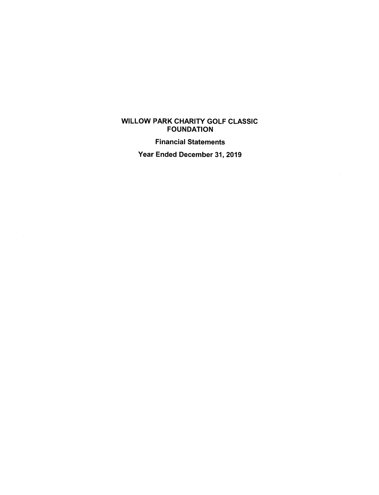Financial Statements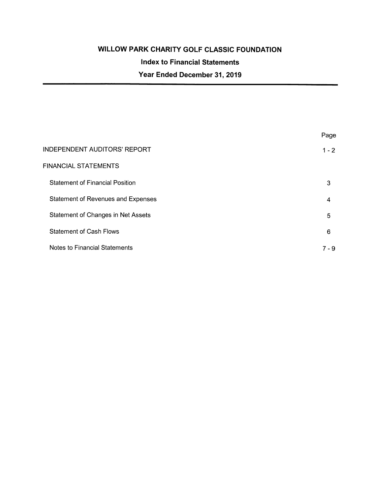Index to Financial Statements

Year Ended December 31, 2019

 $\blacksquare$ 

|                                        | Page    |
|----------------------------------------|---------|
| INDEPENDENT AUDITORS' REPORT           | $1 - 2$ |
| FINANCIAL STATEMENTS                   |         |
| <b>Statement of Financial Position</b> | 3       |
| Statement of Revenues and Expenses     | 4       |
| Statement of Changes in Net Assets     | 5       |
| <b>Statement of Cash Flows</b>         | 6       |
| Notes to Financial Statements          | $7 - 9$ |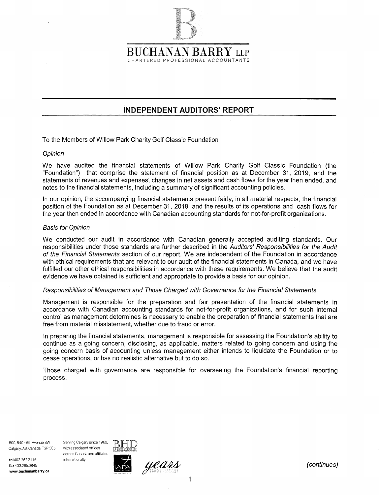

# BUCHANAN BARRY LLP CHARTERED PROFESSIONAL ACCOUNTANTS

# INDEPENDENT AUD|TORS' REPORT

To the Members of Willow Park Charity Golf Classic Foundation

### **Opinion**

We have audited the financial statements of Willow Park Charity Golf Classic Foundation (the "Foundation") that comprise the statement of financial position as at December 31, 2019, and the statements of revenues and expenses, changes in net assets and cash flows for the year then ended, and notes to the financial statements, including a summary of significant accounting policies.

In our opinion, the accompanying financial statements present fairly, in all material respects, the financial position of the Foundation as at December 31, 2019, and the results of its operations and cash flows for the year then ended in accordance with Canadian accounting standards for not-for-profit organizations.

### Basis for Opinion

We conducted our audit in accordance with Canadian generally accepted auditing standards. Our responsibilities under those standards are further described in the Auditors' Responsibilities for the Audit of the Financial Statements section of our report. We are independent of the Foundation in accordance with ethical requirements that are relevant to our audit of the financial statements in Canada, and we have fulfilled our other ethical responsibilities in accordance with these requirements. We believe that the audit evidence we have obtained is sufficient and appropriate to provide a basis for our opinion.

### Responsibilities of Management and Those Charged with Governance for the Financial Statements

Management is responsible for the preparation and fair presentation of the financial statements in accordance with Canadian accounting standards for not-for-profit organizations, and for such internal control as management determines is necessary to enable the preparation of financial statements that are free from material misstatement, whether due to fraud or error.

In preparing the financial statements, management is responsible for assessing the Foundation's ability to continue as a going concern, disclosing, as applicable, matters related to going concern and using the going concern basis of accounting unless management either intends to Hquidate the Foundation or to cease operations, or has no realistic alternative but to do so.

Those charged with governance are responsible for overseeing the Foundation's financial reporting process.

800 840 - 5th Avenue SW Calgary, AB, Canada, T2P 3E5 with associated offices

tel 403.262.2116 fax403.265.0845 www.buehananbarry.ca Serving Calgary since 1960,





(continues)

 $\mathbf 1$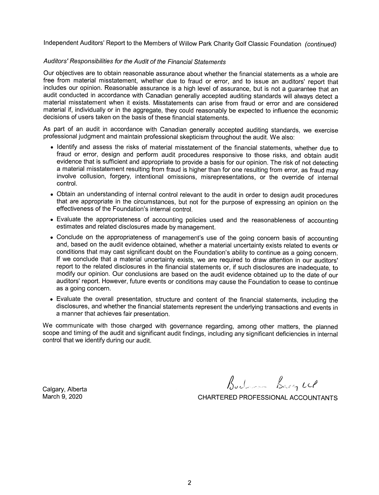Independent Auditors' Report to the Members of Willow Park Charity Golf Classic Foundation (continued)

### Auditors' Responsibilities for the Audit of the Financial Statements

Our objectives are to obtain reasonable assurance about whether the financial statements as a whole are free from material misstatement, whether due to fraud or error, and to issue an auditors' report that includes our opinion. Reasonable assurance is a high level of assurance, but is not a guarantee that an audit conducted in accordance with Canadian generally accepted auditing standards will always detect a material misstatement when it exists. Misstatements can arise from fraud or error and are considered material if, individually or in the aggregate, they could reasonably be expected to influence the economic decisions of users taken on the basis of these financial statements.

As part of an audit in accordance with Canadian generally accepted auditing standards, we exercise professional judgment and maintain professional skepticism throughout the audit. We also:

- Identify and assess the risks of material misstatement of the financial statements, whether due to fraud or error, design and perform audit procedures responsive to those risks, and obtain audit evidence that is sufficient and appropriate to provide a basis for our opinion. The risk of not detecting a material misstatement resulting from fraud is higher than for one resulting from error, as fraud may involve collusion, forgery, intentional omissions, misrepresentations, or the override of internal control.
- Obtain an understanding of internal control relevant to the audit in order to design audit procedures that are appropriate in the circumstances, but not for the purpose of expressing an opinion on the effectiveness of the Foundation's internal control.
- Evaluate the appropriateness of accounting policies used and the reasonableness of accounting estimates and related disclosures made by management.
- Conclude on the appropriateness of management's use of the going concern basis of accounting and, based on the audit evidence obtained, whether a material uncertainty exists related to events or conditions that may cast significant doubt on the Foundation's ability to continue as a going concern. If we conclude that a material uncertainty exists, we are required to draw attention in our auditors' report to the related disclosures in the financial statements or, if such disclosures are inadequate, to modify our opinion. Our conclusions are based on the audit evidence obtained up to the date of our auditors' report. However, future events or conditions may cause the Foundation to cease to continue as a going concern.
- Evaluate the overall presentation, structure and content of the financial statements, including the disclosures, and whether the financial statements represent the underlying transactions and events in a manner that achieves fair presentation.

We communicate with those charged with governance regarding, among other matters, the planned scope and timing of the audit and significant audit findings, including any significant deficiencies in internal control that we identify during our audit.

Calgary, Alberta "  $\beta$ uddan  $\beta$ uddan  $\beta$ ura  $\beta$ ura  $\beta$ 

March 9, 2020 CHARTERED PROFESSIONAL ACCOUNTANTS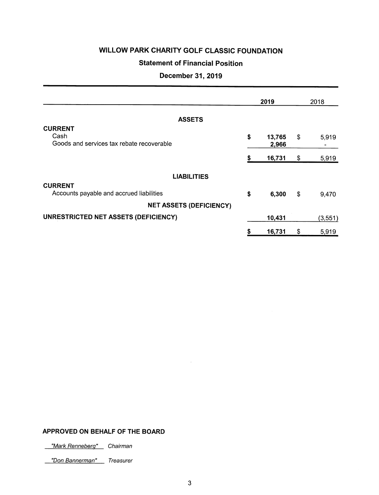# Statement of Financial Position

# December 31, 2019

|                                                   | 2019 |                 | 2018 |          |
|---------------------------------------------------|------|-----------------|------|----------|
| <b>ASSETS</b>                                     |      |                 |      |          |
| <b>CURRENT</b>                                    |      |                 |      |          |
| Cash<br>Goods and services tax rebate recoverable | \$   | 13,765<br>2,966 | \$   | 5,919    |
|                                                   |      | 16,731          | \$   | 5,919    |
| <b>LIABILITIES</b>                                |      |                 |      |          |
| <b>CURRENT</b>                                    |      |                 |      |          |
| Accounts payable and accrued liabilities          | \$   | 6,300           | \$   | 9,470    |
| <b>NET ASSETS (DEFICIENCY)</b>                    |      |                 |      |          |
| UNRESTRICTED NET ASSETS (DEFICIENCY)              |      | 10,431          |      | (3, 551) |
|                                                   | S    | 16,731          | \$   | 5,919    |

### APPROVED ON BEHALF OF THE BOARD

**Wark Renneberg"** Chairman

**"Don Bannerman"** Treasurer

 $\mathcal{A}^{\prime}$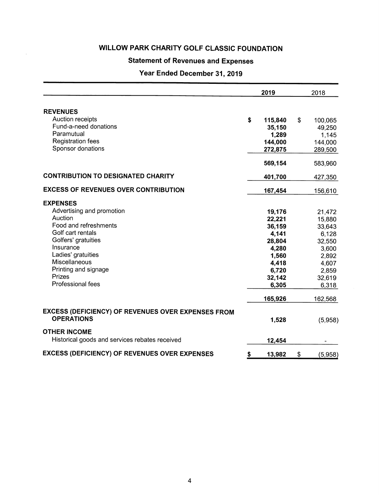$\mathcal{L}$ 

# Statement of Revenues and Expenses

|                                                                                | 2019 |         | 2018          |  |
|--------------------------------------------------------------------------------|------|---------|---------------|--|
| <b>REVENUES</b>                                                                |      |         |               |  |
| Auction receipts                                                               | \$   | 115,840 | \$<br>100,065 |  |
| Fund-a-need donations                                                          |      | 35,150  | 49,250        |  |
| Paramutual                                                                     |      | 1,289   | 1,145         |  |
| <b>Registration fees</b>                                                       |      | 144,000 | 144,000       |  |
| Sponsor donations                                                              |      | 272,875 | 289,500       |  |
|                                                                                |      | 569,154 | 583,960       |  |
| <b>CONTRIBUTION TO DESIGNATED CHARITY</b>                                      |      | 401,700 | 427,350       |  |
| <b>EXCESS OF REVENUES OVER CONTRIBUTION</b>                                    |      | 167,454 | 156,610       |  |
| <b>EXPENSES</b>                                                                |      |         |               |  |
| Advertising and promotion                                                      |      | 19,176  | 21,472        |  |
| Auction                                                                        |      | 22,221  | 15,880        |  |
| Food and refreshments                                                          |      | 36,159  | 33,643        |  |
| Golf cart rentals                                                              |      | 4,141   | 6,128         |  |
| Golfers' gratuities                                                            |      | 28,804  | 32,550        |  |
| Insurance                                                                      |      | 4,280   | 3,600         |  |
| Ladies' gratuities                                                             |      | 1,560   | 2,892         |  |
| Miscellaneous                                                                  |      | 4,418   | 4,607         |  |
| Printing and signage                                                           |      | 6,720   | 2,859         |  |
| Prizes                                                                         |      | 32,142  | 32,619        |  |
| <b>Professional fees</b>                                                       |      | 6,305   | 6,318         |  |
|                                                                                |      | 165,926 | 162,568       |  |
| <b>EXCESS (DEFICIENCY) OF REVENUES OVER EXPENSES FROM</b><br><b>OPERATIONS</b> |      | 1,528   | (5,958)       |  |
| <b>OTHER INCOME</b><br>Historical goods and services rebates received          |      | 12,454  |               |  |
| <b>EXCESS (DEFICIENCY) OF REVENUES OVER EXPENSES</b>                           | \$   | 13,982  | \$<br>(5,958) |  |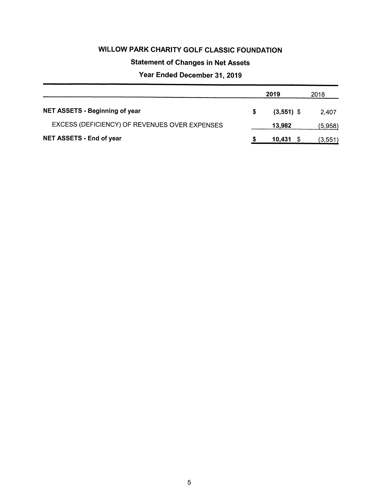# Statement of Changes in Net Assets

|                                               |   | 2019         | 2018    |
|-----------------------------------------------|---|--------------|---------|
| <b>NET ASSETS - Beginning of year</b>         | S | $(3,551)$ \$ | 2.407   |
| EXCESS (DEFICIENCY) OF REVENUES OVER EXPENSES |   | 13,982       | (5,958) |
| NET ASSETS - End of year                      |   | $10,431$ \$  | (3,551) |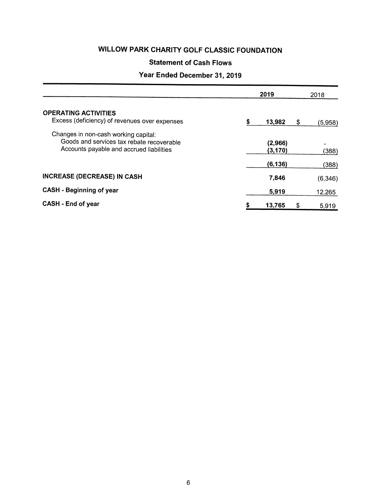# Statement of Cash Flows

|                                                                                                                               |    | 2019               |    | 2018     |  |
|-------------------------------------------------------------------------------------------------------------------------------|----|--------------------|----|----------|--|
| <b>OPERATING ACTIVITIES</b><br>Excess (deficiency) of revenues over expenses                                                  | S. | 13,982             | \$ | (5,958)  |  |
| Changes in non-cash working capital:<br>Goods and services tax rebate recoverable<br>Accounts payable and accrued liabilities |    | (2,966)<br>(3,170) |    | (388)    |  |
|                                                                                                                               |    | (6, 136)           |    | (388)    |  |
| <b>INCREASE (DECREASE) IN CASH</b>                                                                                            |    | 7,846              |    | (6, 346) |  |
| <b>CASH - Beginning of year</b>                                                                                               |    | 5,919              |    | 12,265   |  |
| <b>CASH - End of year</b>                                                                                                     |    | 13,765             | \$ | 5.919    |  |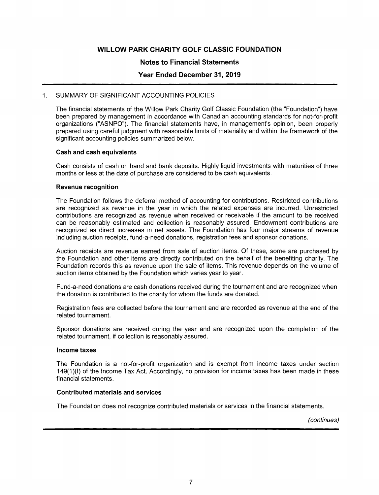### Notes to Financial Statements

### Year Ended December 31, 2019

#### $1<sub>1</sub>$ SUMMARY OF SIGNIFICANT ACCOUNTING POLICIES

The financial statements of the Willow Park Charity Golf Classic Foundation (the "Foundation") have been prepared by management in accordance with Canadian accounting standards for not-for-profit organizations ("ASNPO"). The financial statements have, in management's opinion, been properly prepared using careful judgment with reasonable limits of materiality and within the framework of the significant accounting policies summarized below.

### Cash and cash equivalents

Cash consists of cash on hand and bank deposits. Highly liquid investments with maturities of three months or less at the date of purchase are considered to be cash equivalents.

### Revenue recognition

The Foundation follows the deferral method of accounting for contributions. Restricted contributions are recognized as revenue in the year in which the related expenses are incurred. Unrestricted contributions are recognized as revenue when received or receivable if the amount to be received can be reasonably estimated and collection is reasonably assured. Endowment contributions are recognized as direct increases in net assets. The Foundation has four major streams of revenue including auction receipts, fund-a-need donations, registration fees and sponsor donations.

Auction receipts are revenue earned from sale of auction items. Of these, some are purchased by the Foundation and other items are directly contributed on the behalf of the benefiting charity. The Foundation records this as revenue upon the sale of items. This revenue depends on the volume of auction items obtained by the Foundation which varies year to year.

Fund-a-need donations are cash donations received during the tournament and are recognized when the donation is contributed to the charity for whom the funds are donated.

Registration fees are collected before the tournament and are recorded as revenue at the end of the related tournament.

Sponsor donations are received during the year and are recognized upon the completion of the related tournament, if collection is reasonably assured.

### Income taxes

The Foundation is a not-for-profit organization and is exempt from income taxes under section 149(1)(|) of the Income Tax Act. Accordingly, no provision for income taxes has been made in these financial statements.

### Contributed materials and services

The Foundation does not recognize contributed materials or services in the financial statements.

(continues)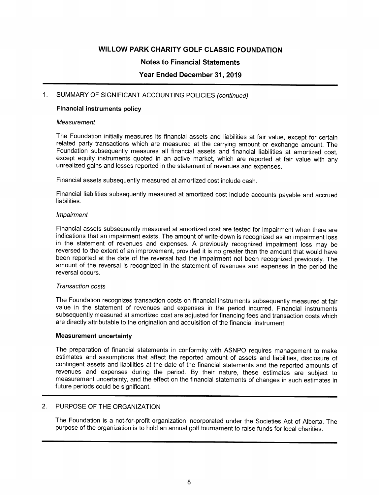### Notes to Financial Statements

## Year Ended December 31, 2019

#### $1<sup>1</sup>$ SUMMARY OF SIGNIFICANT ACCOUNTING POLICIES (continued)

### Financial instruments policy

### **Measurement**

The Foundation initially measures its financial assets and liabilities at fair value, except for certain related party transactions which are measured at the carrying amount or exchange amount. The Foundation subsequently measures all financial assets and financial liabilities at amortized cost, except equity instruments quoted in an active market, which are reported at fair value with any unrealized gains and losses reported in the statement of revenues and expenses.

Financial assets subsequently measured at amortized cost include cash.

Financial liabilities subsequently measured at amortized cost include accounts payable and accrued liabilities.

### Impairment

Financial assets subsequently measured at amortized cost are tested for impairment when there are indications that an impairment exists. The amount of write-down is recognized as an impairment loss in the statement of revenues and expenses. A previously recognized impairment loss may be reversed to the extent of an improvement, provided it is no greater than the amount that would have been reported at the date of the reversal had the impairment not been recognized previously. The amount of the reversal is recognized in the statement of revenues and expenses in the period the reversal occurs.

### Transaction costs

The Foundation recognizes transaction costs on financial instruments subsequently measured at fair value in the statement of revenues and expenses in the period incurred. Financial instruments subsequently measured at amortized cost are adjusted for financing fees and transaction costs which are directly attributable to the origination and acquisition of the financial instrument.

### Measurement uncertainty

The preparation of financial statements in conformity with ASNPO requires management to make estimates and assumptions that affect the reported amount of assets and liabilities, disclosure of contingent assets and liabilities at the date of the financial statements and the reported amounts of revenues and expenses during the period. By their nature, these estimates are subject to measurement uncertainty, and the effect on the financial statements of changes in such estimates in future periods could be significant.

#### $2.$ PURPOSE OF THE ORGANIZATION

The Foundation is a not-for-profit organization incorporated under the Societies Act of Alberta. The purpose of the organization is to hold an annual golf tournament to raise funds for local charities.